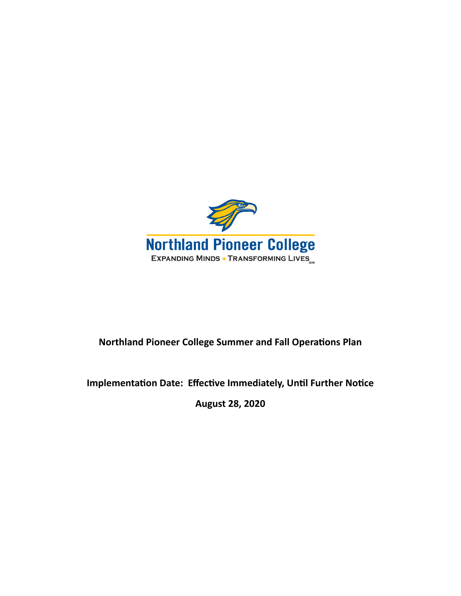

## **Northland Pioneer College Summer and Fall Operations Plan**

### **Implementation Date: Effective Immediately, Until Further Notice**

**August 28, 2020**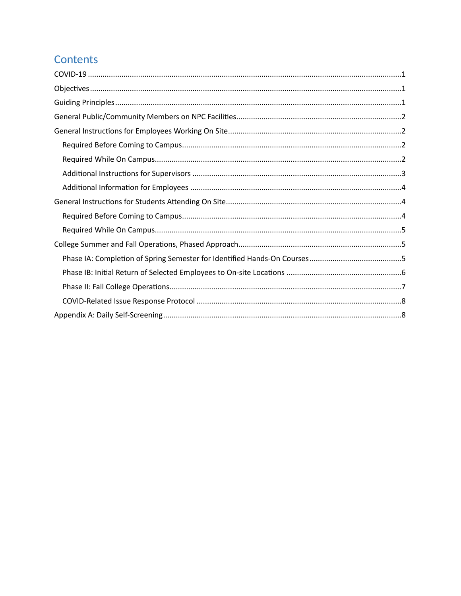# Contents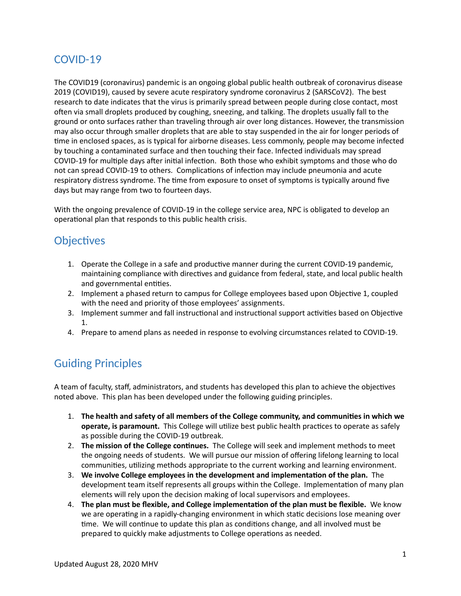## <span id="page-2-0"></span>COVID-19

The COVID19 (coronavirus) pandemic is an ongoing global public health outbreak of [coronavirus disease](https://en.wikipedia.org/wiki/Coronavirus_disease_2019)  [2019](https://en.wikipedia.org/wiki/Coronavirus_disease_2019) (COVID19), caused by [severe acute respiratory syndrome coronavirus 2](https://en.wikipedia.org/wiki/Severe_acute_respiratory_syndrome_coronavirus_2) (SARSCoV2). The best research to date indicates that the virus is primarily [spread](https://en.wikipedia.org/wiki/Transmission_(medicine)) between people during close contact, most often via [small droplets](https://en.wikipedia.org/wiki/Respiratory_droplet) produced by coughing, sneezing, and talking. The droplets usually fall to the ground or onto surfaces rather than [traveling through air over long distances](https://en.wikipedia.org/wiki/Airborne_disease). However, the transmission may also occur through [smaller droplets](https://en.wikipedia.org/wiki/Aerosol) that are able to stay suspended in the air for longer periods of time in enclosed spaces, as is typical for [airborne diseases.](https://en.wikipedia.org/wiki/Airborne_disease) Less commonly, people may become infected by touching a contaminated surface and then touching their face. Infected individuals may spread COVID-19 for multiple days after initial infection. Both those who exhibit symptoms and those who do not can spread COVID-19 to others. Complications of infection may include [pneumonia](https://en.wikipedia.org/wiki/Pneumonia) and acute [respiratory distress syndrome](https://en.wikipedia.org/wiki/Acute_respiratory_distress_syndrome). The time from exposure to onset of symptoms is typically around five days but may range from two to fourteen days.

With the ongoing prevalence of COVID-19 in the college service area, NPC is obligated to develop an operational plan that responds to this public health crisis.

## <span id="page-2-1"></span>**Objectives**

- 1. Operate the College in a safe and productive manner during the current COVID-19 pandemic, maintaining compliance with directives and guidance from federal, state, and local public health and governmental entities.
- 2. Implement a phased return to campus for College employees based upon Objective 1, coupled with the need and priority of those employees' assignments.
- 3. Implement summer and fall instructional and instructional support activities based on Objective 1.
- 4. Prepare to amend plans as needed in response to evolving circumstances related to COVID-19.

## <span id="page-2-2"></span>Guiding Principles

A team of faculty, staff, administrators, and students has developed this plan to achieve the objectives noted above. This plan has been developed under the following guiding principles.

- 1. The health and safety of all members of the College community, and communities in which we **operate, is paramount.** This College will utilize best public health practices to operate as safely as possible during the COVID-19 outbreak.
- 2. **The mission of the College continues.** The College will seek and implement methods to meet the ongoing needs of students. We will pursue our mission of offering lifelong learning to local communities, utilizing methods appropriate to the current working and learning environment.
- 3. We involve College employees in the development and implementation of the plan. The development team itself represents all groups within the College. Implementation of many plan elements will rely upon the decision making of local supervisors and employees.
- 4. The plan must be flexible, and College implementation of the plan must be flexible. We know we are operating in a rapidly-changing environment in which static decisions lose meaning over time. We will continue to update this plan as conditions change, and all involved must be prepared to quickly make adjustments to College operations as needed.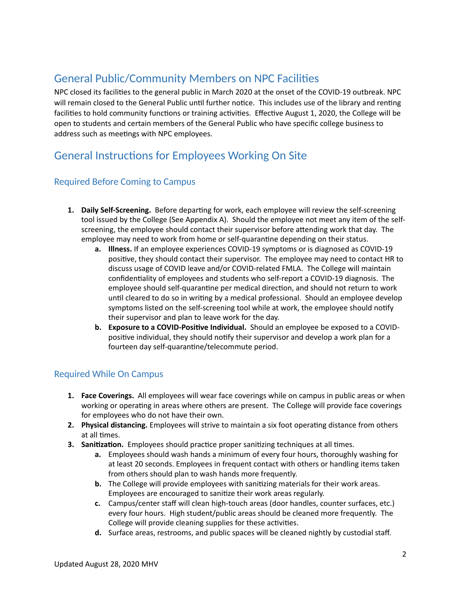## <span id="page-3-0"></span>General Public/Community Members on NPC Facilities

NPC closed its facilities to the general public in March 2020 at the onset of the COVID-19 outbreak. NPC will remain closed to the General Public until further notice. This includes use of the library and renting facilities to hold community functions or training activities. Effective August 1, 2020, the College will be open to students and certain members of the General Public who have specific college business to address such as meetings with NPC employees.

## <span id="page-3-1"></span>General Instructions for Employees Working On Site

#### <span id="page-3-2"></span>Required Before Coming to Campus

- 1. Daily Self-Screening. Before departing for work, each employee will review the self-screening tool issued by the College (See Appendix A). Should the employee not meet any item of the selfscreening, the employee should contact their supervisor before attending work that day. The employee may need to work from home or self-quarantine depending on their status.
	- **a. Illness.** If an employee experiences COVID-19 symptoms or is diagnosed as COVID-19 positive, they should contact their supervisor. The employee may need to contact HR to discuss usage of COVID leave and/or COVID-related FMLA. The College will maintain confidentiality of employees and students who self-report a COVID-19 diagnosis. The employee should self-quarantine per medical direction, and should not return to work until cleared to do so in writing by a medical professional. Should an employee develop symptoms listed on the self-screening tool while at work, the employee should notify their supervisor and plan to leave work for the day.
	- **b. Exposure to a COVID-Positive Individual.** Should an employee be exposed to a COVIDpositive individual, they should notify their supervisor and develop a work plan for a fourteen day self-quarantine/telecommute period.

#### <span id="page-3-3"></span>Required While On Campus

- **1. Face Coverings.** All employees will wear face coverings while on campus in public areas or when working or operating in areas where others are present. The College will provide face coverings for employees who do not have their own.
- **2.** Physical distancing. Employees will strive to maintain a six foot operating distance from others at all times.
- **3. Sanitization.** Employees should practice proper sanitizing techniques at all times.
	- **a.** Employees should wash hands a minimum of every four hours, thoroughly washing for at least 20 seconds. Employees in frequent contact with others or handling items taken from others should plan to wash hands more frequently.
	- **b.** The College will provide employees with sanitizing materials for their work areas. Employees are encouraged to sanitize their work areas regularly.
	- **c.** Campus/center staff will clean high-touch areas (door handles, counter surfaces, etc.) every four hours. High student/public areas should be cleaned more frequently. The College will provide cleaning supplies for these activities.
	- **d.** Surface areas, restrooms, and public spaces will be cleaned nightly by custodial staff.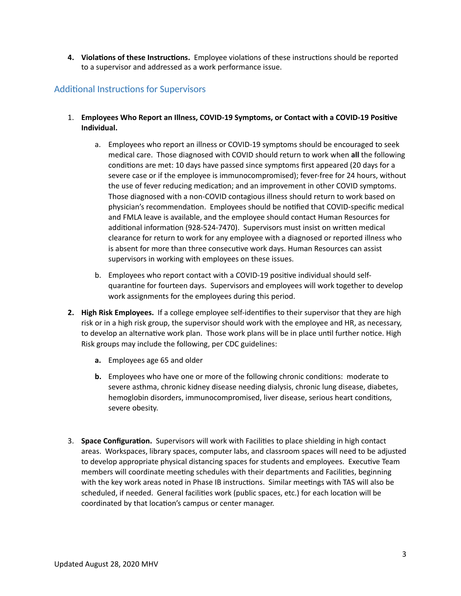**4. Violations of these Instructions.** Employee violations of these instructions should be reported to a supervisor and addressed as a work performance issue.

#### <span id="page-4-0"></span>Additional Instructions for Supervisors

- 1. **Employees Who Report an Illness, COVID-19 Symptoms, or Contact with a COVID-19 Positive Individual.** 
	- a. Employees who report an illness or COVID-19 symptoms should be encouraged to seek medical care. Those diagnosed with COVID should return to work when **all** the following conditions are met: 10 days have passed since symptoms first appeared (20 days for a severe case or if the employee is immunocompromised); fever-free for 24 hours, without the use of fever reducing medication; and an improvement in other COVID symptoms. Those diagnosed with a non-COVID contagious illness should return to work based on physician's recommendation. Employees should be notified that COVID-specific medical and FMLA leave is available, and the employee should contact Human Resources for additional information (928-524-7470). Supervisors must insist on written medical clearance for return to work for any employee with a diagnosed or reported illness who is absent for more than three consecutive work days. Human Resources can assist supervisors in working with employees on these issues.
	- b. Employees who report contact with a COVID-19 positive individual should selfquarantine for fourteen days. Supervisors and employees will work together to develop work assignments for the employees during this period.
- **2. High Risk Employees.** If a college employee self-identifies to their supervisor that they are high risk or in a high risk group, the supervisor should work with the employee and HR, as necessary, to develop an alternative work plan. Those work plans will be in place until further notice. High Risk groups may include the following, per CDC guidelines:
	- **a.** Employees age 65 and older
	- **b.** Employees who have one or more of the following chronic conditions: moderate to severe asthma, chronic kidney disease needing dialysis, chronic lung disease, diabetes, hemoglobin disorders, immunocompromised, liver disease, serious heart conditions, severe obesity.
- 3. **Space Configuration.** Supervisors will work with Facilities to place shielding in high contact areas. Workspaces, library spaces, computer labs, and classroom spaces will need to be adjusted to develop appropriate physical distancing spaces for students and employees. Executive Team members will coordinate meeting schedules with their departments and Facilities, beginning with the key work areas noted in Phase IB instructions. Similar meetings with TAS will also be scheduled, if needed. General facilities work (public spaces, etc.) for each location will be coordinated by that location's campus or center manager.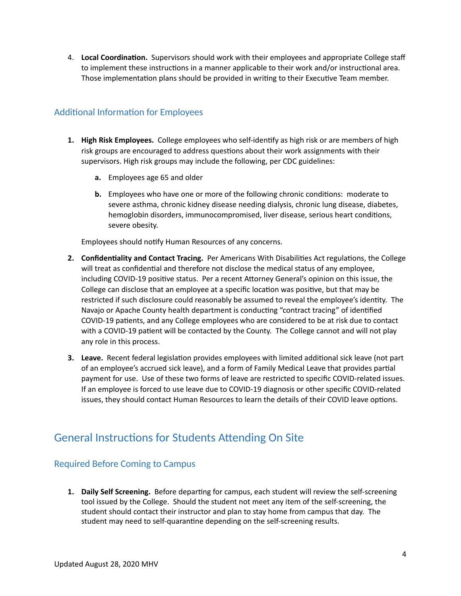4. **Local Coordination.** Supervisors should work with their employees and appropriate College staff to implement these instructions in a manner applicable to their work and/or instructional area. Those implementation plans should be provided in writing to their Executive Team member.

#### <span id="page-5-0"></span>Additional Information for Employees

- **1. High Risk Employees.** College employees who self-identify as high risk or are members of high risk groups are encouraged to address questions about their work assignments with their supervisors. High risk groups may include the following, per CDC guidelines:
	- **a.** Employees age 65 and older
	- **b.** Employees who have one or more of the following chronic conditions: moderate to severe asthma, chronic kidney disease needing dialysis, chronic lung disease, diabetes, hemoglobin disorders, immunocompromised, liver disease, serious heart conditions, severe obesity.

Employees should notify Human Resources of any concerns.

- **2. Confidentiality and Contact Tracing.** Per Americans With Disabilities Act regulations, the College will treat as confidential and therefore not disclose the medical status of any employee, including COVID-19 positive status. Per a recent Attorney General's opinion on this issue, the College can disclose that an employee at a specific location was positive, but that may be restricted if such disclosure could reasonably be assumed to reveal the employee's identity. The Navajo or Apache County health department is conducting "contract tracing" of identified COVID-19 patients, and any College employees who are considered to be at risk due to contact with a COVID-19 patient will be contacted by the County. The College cannot and will not play any role in this process.
- **3.** Leave. Recent federal legislation provides employees with limited additional sick leave (not part of an employee's accrued sick leave), and a form of Family Medical Leave that provides partial payment for use. Use of these two forms of leave are restricted to specific COVID-related issues. If an employee is forced to use leave due to COVID-19 diagnosis or other specific COVID-related issues, they should contact Human Resources to learn the details of their COVID leave options.

## <span id="page-5-1"></span>General Instructions for Students Attending On Site

#### <span id="page-5-2"></span>Required Before Coming to Campus

1. Daily Self Screening. Before departing for campus, each student will review the self-screening tool issued by the College. Should the student not meet any item of the self-screening, the student should contact their instructor and plan to stay home from campus that day. The student may need to self-quarantine depending on the self-screening results.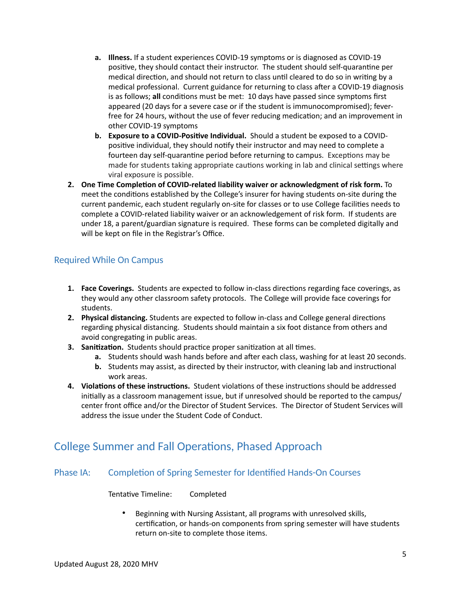- **a. Illness.** If a student experiences COVID-19 symptoms or is diagnosed as COVID-19 positive, they should contact their instructor. The student should self-quarantine per medical direction, and should not return to class until cleared to do so in writing by a medical professional. Current guidance for returning to class after a COVID-19 diagnosis is as follows; **all** conditions must be met: 10 days have passed since symptoms first appeared (20 days for a severe case or if the student is immunocompromised); feverfree for 24 hours, without the use of fever reducing medication; and an improvement in other COVID-19 symptoms
- **b. Exposure to a COVID-Positive Individual.** Should a student be exposed to a COVIDpositive individual, they should notify their instructor and may need to complete a fourteen day self-quarantine period before returning to campus. Exceptions may be made for students taking appropriate cautions working in lab and clinical settings where viral exposure is possible.
- **2.** One Time Completion of COVID-related liability waiver or acknowledgment of risk form. To meet the conditions established by the College's insurer for having students on-site during the current pandemic, each student regularly on-site for classes or to use College facilities needs to complete a COVID-related liability waiver or an acknowledgement of risk form. If students are under 18, a parent/guardian signature is required. These forms can be completed digitally and will be kept on file in the Registrar's Office.

#### <span id="page-6-0"></span>Required While On Campus

- 1. **Face Coverings.** Students are expected to follow in-class directions regarding face coverings, as they would any other classroom safety protocols. The College will provide face coverings for students.
- **2. Physical distancing.** Students are expected to follow in-class and College general directions regarding physical distancing. Students should maintain a six foot distance from others and avoid congregating in public areas.
- **3. Sanitization.** Students should practice proper sanitization at all times.
	- **a.** Students should wash hands before and after each class, washing for at least 20 seconds.
	- **b.** Students may assist, as directed by their instructor, with cleaning lab and instructional work areas.
- **4. Violations of these instructions.** Student violations of these instructions should be addressed initially as a classroom management issue, but if unresolved should be reported to the campus/ center front office and/or the Director of Student Services. The Director of Student Services will address the issue under the Student Code of Conduct.

### <span id="page-6-1"></span>College Summer and Fall Operations, Phased Approach

#### <span id="page-6-2"></span>Phase IA: Completion of Spring Semester for Identified Hands-On Courses

**Tentative Timeline: Completed** 

• Beginning with Nursing Assistant, all programs with unresolved skills, certification, or hands-on components from spring semester will have students return on-site to complete those items.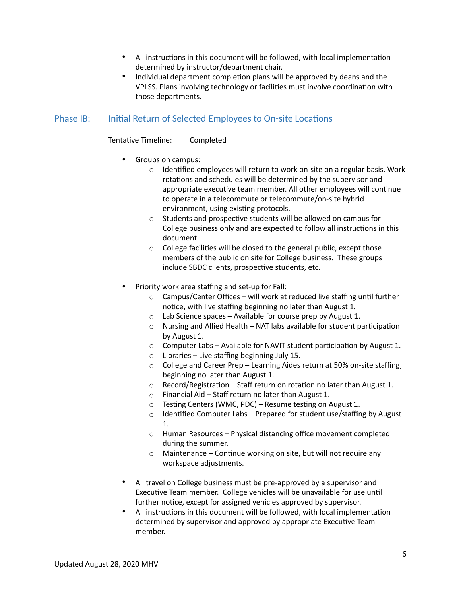- All instructions in this document will be followed, with local implementation determined by instructor/department chair.
- Individual department completion plans will be approved by deans and the VPLSS. Plans involving technology or facilities must involve coordination with those departments.

#### <span id="page-7-0"></span>Phase IB: Initial Return of Selected Employees to On-site Locations

Tentative Timeline: Completed

- Groups on campus:
	- $\circ$  Identified employees will return to work on-site on a regular basis. Work rotations and schedules will be determined by the supervisor and appropriate executive team member. All other employees will continue to operate in a telecommute or telecommute/on-site hybrid environment, using existing protocols.
	- $\circ$  Students and prospective students will be allowed on campus for College business only and are expected to follow all instructions in this document.
	- $\circ$  College facilities will be closed to the general public, except those members of the public on site for College business. These groups include SBDC clients, prospective students, etc.
- Priority work area staffing and set-up for Fall:
	- $\circ$  Campus/Center Offices will work at reduced live staffing until further notice, with live staffing beginning no later than August 1.
	- $\circ$  Lab Science spaces Available for course prep by August 1.
	- $\circ$  Nursing and Allied Health NAT labs available for student participation by August 1.
	- $\circ$  Computer Labs Available for NAVIT student participation by August 1.
	- $\circ$  Libraries Live staffing beginning July 15.
	- o College and Career Prep Learning Aides return at 50% on-site staffing, beginning no later than August 1.
	- $\circ$  Record/Registration Staff return on rotation no later than August 1.
	- o Financial Aid Staff return no later than August 1.
	- $\circ$  Testing Centers (WMC, PDC) Resume testing on August 1.
	- $\circ$  Identified Computer Labs Prepared for student use/staffing by August 1.
	- o Human Resources Physical distancing office movement completed during the summer.
	- $\circ$  Maintenance Continue working on site, but will not require any workspace adjustments.
- All travel on College business must be pre-approved by a supervisor and Executive Team member. College vehicles will be unavailable for use until further notice, except for assigned vehicles approved by supervisor.
- All instructions in this document will be followed, with local implementation determined by supervisor and approved by appropriate Executive Team member.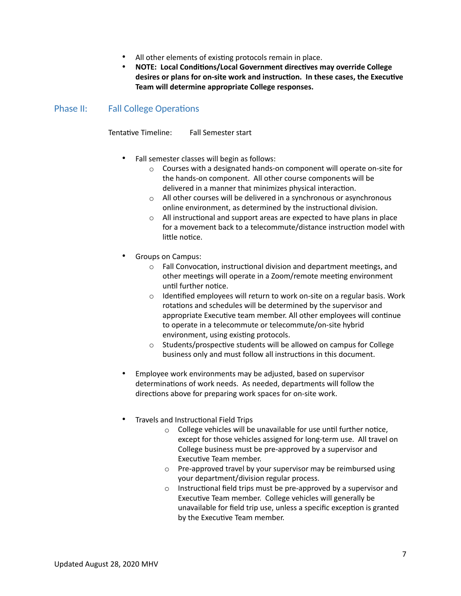- All other elements of existing protocols remain in place.
- **NOTE: Local Conditions/Local Government directives may override College** desires or plans for on-site work and instruction. In these cases, the Executive **Team will determine appropriate College responses.**

<span id="page-8-0"></span>Phase II: Fall College Operations

Tentative Timeline: Fall Semester start

- Fall semester classes will begin as follows:
	- $\circ$  Courses with a designated hands-on component will operate on-site for the hands-on component. All other course components will be delivered in a manner that minimizes physical interaction.
	- o All other courses will be delivered in a synchronous or asynchronous online environment, as determined by the instructional division.
	- $\circ$  All instructional and support areas are expected to have plans in place for a movement back to a telecommute/distance instruction model with little notice.
- Groups on Campus:
	- $\circ$  Fall Convocation, instructional division and department meetings, and other meetings will operate in a Zoom/remote meeting environment until further notice.
	- $\circ$  Identified employees will return to work on-site on a regular basis. Work rotations and schedules will be determined by the supervisor and appropriate Executive team member. All other employees will continue to operate in a telecommute or telecommute/on-site hybrid environment, using existing protocols.
	- $\circ$  Students/prospective students will be allowed on campus for College business only and must follow all instructions in this document.
- Employee work environments may be adjusted, based on supervisor determinations of work needs. As needed, departments will follow the directions above for preparing work spaces for on-site work.
- Travels and Instructional Field Trips
	- $\circ$  College vehicles will be unavailable for use until further notice, except for those vehicles assigned for long-term use. All travel on College business must be pre-approved by a supervisor and Executive Team member.
	- $\circ$  Pre-approved travel by your supervisor may be reimbursed using your department/division regular process.
	- $\circ$  Instructional field trips must be pre-approved by a supervisor and Executive Team member. College vehicles will generally be unavailable for field trip use, unless a specific exception is granted by the Executive Team member.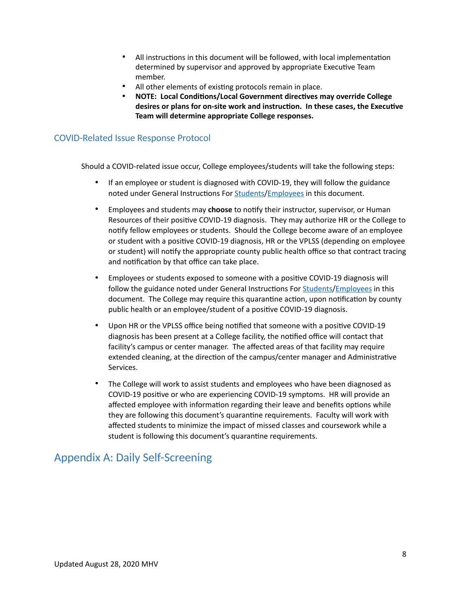- All instructions in this document will be followed, with local implementation determined by supervisor and approved by appropriate Executive Team member.
- All other elements of existing protocols remain in place.
- **NOTE: Local Conditions/Local Government directives may override College** desires or plans for on-site work and instruction. In these cases, the Executive **Team will determine appropriate College responses.**

#### <span id="page-9-0"></span>COVID-Related Issue Response Protocol

Should a COVID-related issue occur, College employees/students will take the following steps:

- If an employee or student is diagnosed with COVID-19, they will follow the guidance noted under General Instructions For **[Students](#page-5-1)/Employees** in this document.
- Employees and students may **choose** to notify their instructor, supervisor, or Human Resources of their positive COVID-19 diagnosis. They may authorize HR or the College to notify fellow employees or students. Should the College become aware of an employee or student with a positive COVID-19 diagnosis, HR or the VPLSS (depending on employee or student) will notify the appropriate county public health office so that contract tracing and notification by that office can take place.
- Employees or students exposed to someone with a positive COVID-19 diagnosis will follow the guidance noted under General Instructions For **Students/[Employees](#page-3-1)** in this document. The College may require this quarantine action, upon notification by county public health or an employee/student of a positive COVID-19 diagnosis.
- Upon HR or the VPLSS office being notified that someone with a positive COVID-19 diagnosis has been present at a College facility, the notified office will contact that facility's campus or center manager. The affected areas of that facility may require extended cleaning, at the direction of the campus/center manager and Administrative Services.
- The College will work to assist students and employees who have been diagnosed as COVID-19 positive or who are experiencing COVID-19 symptoms. HR will provide an affected employee with information regarding their leave and benefits options while they are following this document's quarantine requirements. Faculty will work with affected students to minimize the impact of missed classes and coursework while a student is following this document's quarantine requirements.

### <span id="page-9-1"></span>Appendix A: Daily Self-Screening